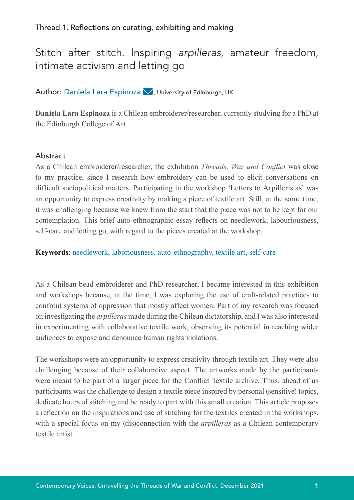# Stitch after stitch. Inspiring *arpilleras*, amateur freedom, intimate activism and letting go

# Author: Daniela Lara Espinoza  $\blacktriangledown$ [,](mailto:da.larae%40gmail.com?subject=) University of Edinburgh, UK

**Daniela Lara Espinoza** is a Chilean embroiderer/researcher, currently studying for a PhD at the Edinburgh College of Art.

## Abstract

As a Chilean embroiderer/researcher, the exhibition *Threads, War and Conflict* was close to my practice, since I research how embroidery can be used to elicit conversations on difficult sociopolitical matters. Participating in the workshop 'Letters to Arpilleristas' was an opportunity to express creativity by making a piece of textile art. Still, at the same time, it was challenging because we knew from the start that the piece was not to be kept for our contemplation. This brief auto-ethnographic essay reflects on needlework, labouriousness, self-care and letting go, with regard to the pieces created at the workshop.

**Keywords**: needlework, laboriousness, auto-ethnography, textile art, self-care

As a Chilean bead embroiderer and PhD researcher, I became interested in this exhibition and workshops because, at the time, I was exploring the use of craft-related practices to confront systems of oppression that mostly affect women. Part of my research was focused on investigating the *arpilleras* made during the Chilean dictatorship, and I was also interested in experimenting with collaborative textile work, observing its potential in reaching wider audiences to expose and denounce human rights violations.

The workshops were an opportunity to express creativity through textile art. They were also challenging because of their collaborative aspect. The artworks made by the participants were meant to be part of a larger piece for the Conflict Textile archive. Thus, ahead of us participants was the challenge to design a textile piece inspired by personal (sensitive) topics, dedicate hours of stitching and be ready to part with this small creation. This article proposes a reflection on the inspirations and use of stitching for the textiles created in the workshops, with a special focus on my (dis)connection with the *arpilleras* as a Chilean contemporary textile artist.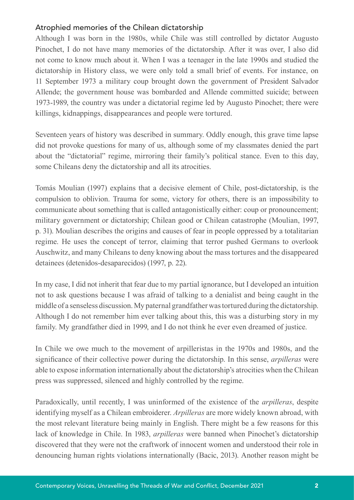# Atrophied memories of the Chilean dictatorship

Although I was born in the 1980s, while Chile was still controlled by dictator Augusto Pinochet, I do not have many memories of the dictatorship. After it was over, I also did not come to know much about it. When I was a teenager in the late 1990s and studied the dictatorship in History class, we were only told a small brief of events. For instance, on 11 September 1973 a military coup brought down the government of President Salvador Allende; the government house was bombarded and Allende committed suicide; between 1973-1989, the country was under a dictatorial regime led by Augusto Pinochet; there were killings, kidnappings, disappearances and people were tortured.

Seventeen years of history was described in summary. Oddly enough, this grave time lapse did not provoke questions for many of us, although some of my classmates denied the part about the "dictatorial" regime, mirroring their family's political stance. Even to this day, some Chileans deny the dictatorship and all its atrocities.

Tomás Moulian (1997) explains that a decisive element of Chile, post-dictatorship, is the compulsion to oblivion. Trauma for some, victory for others, there is an impossibility to communicate about something that is called antagonistically either: coup or pronouncement; military government or dictatorship; Chilean good or Chilean catastrophe (Moulian, 1997, p. 31). Moulian describes the origins and causes of fear in people oppressed by a totalitarian regime. He uses the concept of terror, claiming that terror pushed Germans to overlook Auschwitz, and many Chileans to deny knowing about the mass tortures and the disappeared detainees (detenidos-desaparecidos) (1997, p. 22).

In my case, I did not inherit that fear due to my partial ignorance, but I developed an intuition not to ask questions because I was afraid of talking to a denialist and being caught in the middle of a senseless discussion. My paternal grandfather was tortured during the dictatorship. Although I do not remember him ever talking about this, this was a disturbing story in my family. My grandfather died in 1999, and I do not think he ever even dreamed of justice.

In Chile we owe much to the movement of arpilleristas in the 1970s and 1980s, and the significance of their collective power during the dictatorship. In this sense, *arpilleras* were able to expose information internationally about the dictatorship's atrocities when the Chilean press was suppressed, silenced and highly controlled by the regime.

Paradoxically, until recently, I was uninformed of the existence of the *arpilleras*, despite identifying myself as a Chilean embroiderer. *Arpilleras* are more widely known abroad, with the most relevant literature being mainly in English. There might be a few reasons for this lack of knowledge in Chile. In 1983, *arpilleras* were banned when Pinochet's dictatorship discovered that they were not the craftwork of innocent women and understood their role in denouncing human rights violations internationally (Bacic, 2013). Another reason might be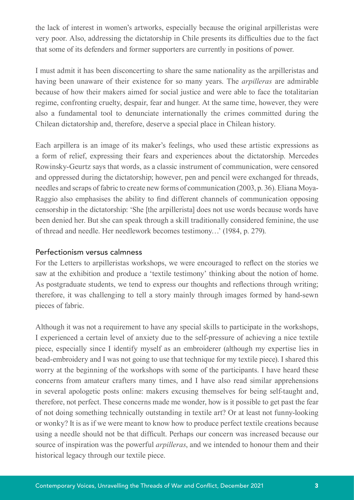the lack of interest in women's artworks, especially because the original arpilleristas were very poor. Also, addressing the dictatorship in Chile presents its difficulties due to the fact that some of its defenders and former supporters are currently in positions of power.

I must admit it has been disconcerting to share the same nationality as the arpilleristas and having been unaware of their existence for so many years. The *arpilleras* are admirable because of how their makers aimed for social justice and were able to face the totalitarian regime, confronting cruelty, despair, fear and hunger. At the same time, however, they were also a fundamental tool to denunciate internationally the crimes committed during the Chilean dictatorship and, therefore, deserve a special place in Chilean history.

Each arpillera is an image of its maker's feelings, who used these artistic expressions as a form of relief, expressing their fears and experiences about the dictatorship. Mercedes Rowinsky-Geurtz says that words, as a classic instrument of communication, were censored and oppressed during the dictatorship; however, pen and pencil were exchanged for threads, needles and scraps of fabric to create new forms of communication (2003, p. 36). Eliana Moya-Raggio also emphasises the ability to find different channels of communication opposing censorship in the dictatorship: 'She [the arpillerista] does not use words because words have been denied her. But she can speak through a skill traditionally considered feminine, the use of thread and needle. Her needlework becomes testimony…' (1984, p. 279).

#### Perfectionism versus calmness

For the Letters to arpilleristas workshops, we were encouraged to reflect on the stories we saw at the exhibition and produce a 'textile testimony' thinking about the notion of home. As postgraduate students, we tend to express our thoughts and reflections through writing; therefore, it was challenging to tell a story mainly through images formed by hand-sewn pieces of fabric.

Although it was not a requirement to have any special skills to participate in the workshops, I experienced a certain level of anxiety due to the self-pressure of achieving a nice textile piece, especially since I identify myself as an embroiderer (although my expertise lies in bead-embroidery and I was not going to use that technique for my textile piece). I shared this worry at the beginning of the workshops with some of the participants. I have heard these concerns from amateur crafters many times, and I have also read similar apprehensions in several apologetic posts online: makers excusing themselves for being self-taught and, therefore, not perfect. These concerns made me wonder, how is it possible to get past the fear of not doing something technically outstanding in textile art? Or at least not funny-looking or wonky? It is as if we were meant to know how to produce perfect textile creations because using a needle should not be that difficult. Perhaps our concern was increased because our source of inspiration was the powerful *arpilleras*, and we intended to honour them and their historical legacy through our textile piece.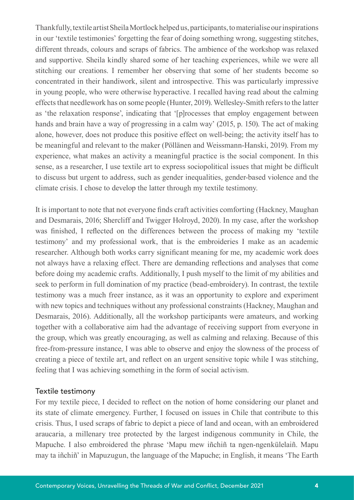Thankfully, textile artist Sheila Mortlock helped us, participants, to materialise our inspirations in our 'textile testimonies' forgetting the fear of doing something wrong, suggesting stitches, different threads, colours and scraps of fabrics. The ambience of the workshop was relaxed and supportive. Sheila kindly shared some of her teaching experiences, while we were all stitching our creations. I remember her observing that some of her students become so concentrated in their handiwork, silent and introspective. This was particularly impressive in young people, who were otherwise hyperactive. I recalled having read about the calming effects that needlework has on some people (Hunter, 2019). Wellesley-Smith refers to the latter as 'the relaxation response', indicating that '[p]rocesses that employ engagement between hands and brain have a way of progressing in a calm way' (2015, p. 150). The act of making alone, however, does not produce this positive effect on well-being; the activity itself has to be meaningful and relevant to the maker (Pöllänen and Weissmann-Hanski, 2019). From my experience, what makes an activity a meaningful practice is the social component. In this sense, as a researcher, I use textile art to express sociopolitical issues that might be difficult to discuss but urgent to address, such as gender inequalities, gender-based violence and the climate crisis. I chose to develop the latter through my textile testimony.

It is important to note that not everyone finds craft activities comforting (Hackney, Maughan and Desmarais, 2016; Shercliff and Twigger Holroyd, 2020). In my case, after the workshop was finished, I reflected on the differences between the process of making my 'textile testimony' and my professional work, that is the embroideries I make as an academic researcher. Although both works carry significant meaning for me, my academic work does not always have a relaxing effect. There are demanding reflections and analyses that come before doing my academic crafts. Additionally, I push myself to the limit of my abilities and seek to perform in full domination of my practice (bead-embroidery). In contrast, the textile testimony was a much freer instance, as it was an opportunity to explore and experiment with new topics and techniques without any professional constraints (Hackney, Maughan and Desmarais, 2016). Additionally, all the workshop participants were amateurs, and working together with a collaborative aim had the advantage of receiving support from everyone in the group, which was greatly encouraging, as well as calming and relaxing. Because of this free-from-pressure instance, I was able to observe and enjoy the slowness of the process of creating a piece of textile art, and reflect on an urgent sensitive topic while I was stitching, feeling that I was achieving something in the form of social activism.

#### Textile testimony

For my textile piece, I decided to reflect on the notion of home considering our planet and its state of climate emergency. Further, I focused on issues in Chile that contribute to this crisis. Thus, I used scraps of fabric to depict a piece of land and ocean, with an embroidered araucaria, a millenary tree protected by the largest indigenous community in Chile, the Mapuche. I also embroidered the phrase 'Mapu mew iñchiñ ta ngen-ngenkülelaiñ. Mapu may ta iñchiñ' in Mapuzugun, the language of the Mapuche; in English, it means 'The Earth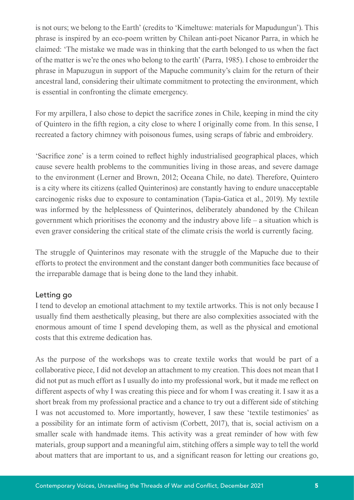is not ours; we belong to the Earth' (credits to 'Kimeltuwe: materials for Mapudungun'). This phrase is inspired by an eco-poem written by Chilean anti-poet Nicanor Parra, in which he claimed: 'The mistake we made was in thinking that the earth belonged to us when the fact of the matter is we're the ones who belong to the earth' (Parra, 1985). I chose to embroider the phrase in Mapuzugun in support of the Mapuche community's claim for the return of their ancestral land, considering their ultimate commitment to protecting the environment, which is essential in confronting the climate emergency.

For my arpillera, I also chose to depict the sacrifice zones in Chile, keeping in mind the city of Quintero in the fifth region, a city close to where I originally come from. In this sense, I recreated a factory chimney with poisonous fumes, using scraps of fabric and embroidery.

'Sacrifice zone' is a term coined to reflect highly industrialised geographical places, which cause severe health problems to the communities living in those areas, and severe damage to the environment (Lerner and Brown, 2012; Oceana Chile, no date). Therefore, Quintero is a city where its citizens (called Quinterinos) are constantly having to endure unacceptable carcinogenic risks due to exposure to contamination (Tapia-Gatica et al., 2019). My textile was informed by the helplessness of Quinterinos, deliberately abandoned by the Chilean government which prioritises the economy and the industry above life – a situation which is even graver considering the critical state of the climate crisis the world is currently facing.

The struggle of Quinterinos may resonate with the struggle of the Mapuche due to their efforts to protect the environment and the constant danger both communities face because of the irreparable damage that is being done to the land they inhabit.

### Letting go

I tend to develop an emotional attachment to my textile artworks. This is not only because I usually find them aesthetically pleasing, but there are also complexities associated with the enormous amount of time I spend developing them, as well as the physical and emotional costs that this extreme dedication has.

As the purpose of the workshops was to create textile works that would be part of a collaborative piece, I did not develop an attachment to my creation. This does not mean that I did not put as much effort as I usually do into my professional work, but it made me reflect on different aspects of why I was creating this piece and for whom I was creating it. I saw it as a short break from my professional practice and a chance to try out a different side of stitching I was not accustomed to. More importantly, however, I saw these 'textile testimonies' as a possibility for an intimate form of activism (Corbett, 2017), that is, social activism on a smaller scale with handmade items. This activity was a great reminder of how with few materials, group support and a meaningful aim, stitching offers a simple way to tell the world about matters that are important to us, and a significant reason for letting our creations go,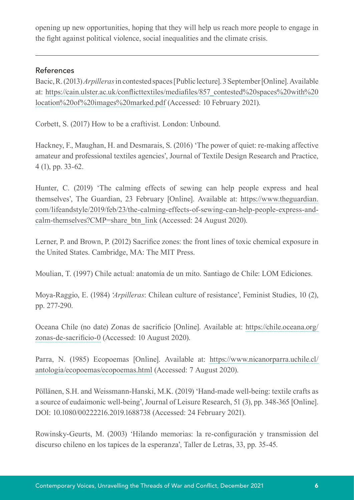opening up new opportunities, hoping that they will help us reach more people to engage in the fight against political violence, social inequalities and the climate crisis.

## References

Bacic, R. (2013) *Arpilleras* in contested spaces [Public lecture]. 3 September [Online]. Available at: [https://cain.ulster.ac.uk/conflicttextiles/mediafiles/857\\_contested%20spaces%20with%20](https://cain.ulster.ac.uk/conflicttextiles/mediafiles/857_contested%20spaces%20with%20location%20of%20images%20marked.pdf) [location%20of%20images%20marked.pdf](https://cain.ulster.ac.uk/conflicttextiles/mediafiles/857_contested%20spaces%20with%20location%20of%20images%20marked.pdf) (Accessed: 10 February 2021).

Corbett, S. (2017) How to be a craftivist. London: Unbound.

Hackney, F., Maughan, H. and Desmarais, S. (2016) 'The power of quiet: re-making affective amateur and professional textiles agencies', Journal of Textile Design Research and Practice, 4 (1), pp. 33-62.

Hunter, C. (2019) 'The calming effects of sewing can help people express and heal themselves', The Guardian, 23 February [Online]. Available at: [https://www.theguardian.](https://www.theguardian.com/lifeandstyle/2019/feb/23/the-calming-effects-of-sewing-can-help-people-express-and-calm-themselves?CMP=share_btn_link) [com/lifeandstyle/2019/feb/23/the-calming-effects-of-sewing-can-help-people-express-and](https://www.theguardian.com/lifeandstyle/2019/feb/23/the-calming-effects-of-sewing-can-help-people-express-and-calm-themselves?CMP=share_btn_link)[calm-themselves?CMP=share\\_btn\\_link](https://www.theguardian.com/lifeandstyle/2019/feb/23/the-calming-effects-of-sewing-can-help-people-express-and-calm-themselves?CMP=share_btn_link) (Accessed: 24 August 2020).

Lerner, P. and Brown, P. (2012) Sacrifice zones: the front lines of toxic chemical exposure in the United States. Cambridge, MA: The MIT Press.

Moulian, T. (1997) Chile actual: anatomía de un mito. Santiago de Chile: LOM Ediciones.

Moya-Raggio, E. (1984) '*Arpilleras*: Chilean culture of resistance', Feminist Studies, 10 (2), pp. 277-290.

Oceana Chile (no date) Zonas de sacrificio [Online]. Available at: [https://chile.oceana.org/](https://chile.oceana.org/zonas-de-sacrificio-0) [zonas-de-sacrificio-0](https://chile.oceana.org/zonas-de-sacrificio-0) (Accessed: 10 August 2020).

Parra, N. (1985) Ecopoemas [Online]. Available at: [https://www.nicanorparra.uchile.cl/](https://www.nicanorparra.uchile.cl/antologia/ecopoemas/ecopoemas.html) [antologia/ecopoemas/ecopoemas.html](https://www.nicanorparra.uchile.cl/antologia/ecopoemas/ecopoemas.html) (Accessed: 7 August 2020).

Pöllänen, S.H. and Weissmann-Hanski, M.K. (2019) 'Hand-made well-being: textile crafts as a source of eudaimonic well-being', Journal of Leisure Research, 51 (3), pp. 348-365 [Online]. DOI: 10.1080/00222216.2019.1688738 (Accessed: 24 February 2021).

Rowinsky-Geurts, M. (2003) 'Hilando memorias: la re-configuración y transmission del discurso chileno en los tapices de la esperanza', Taller de Letras, 33, pp. 35-45.